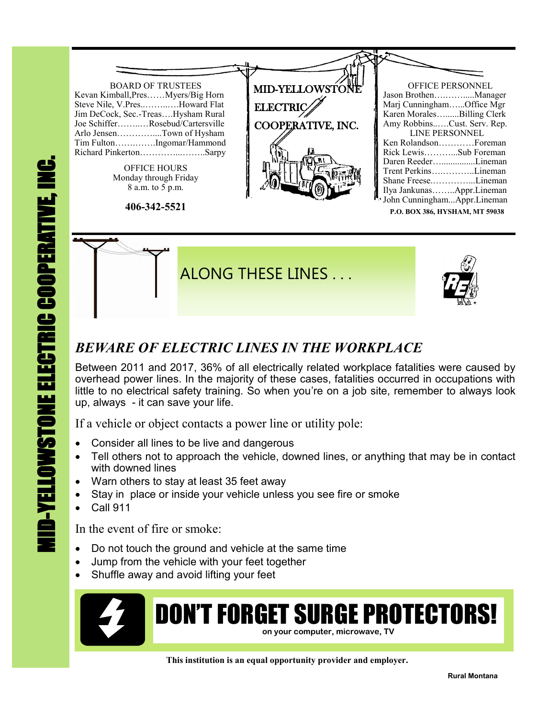

## *BEWARE OF ELECTRIC LINES IN THE WORKPLACE*

Between 2011 and 2017, 36% of all electrically related workplace fatalities were caused by overhead power lines. In the majority of these cases, fatalities occurred in occupations with little to no electrical safety training. So when you're on a job site, remember to always look up, always - it can save your life.

If a vehicle or object contacts a power line or utility pole:

- Consider all lines to be live and dangerous
- Tell others not to approach the vehicle, downed lines, or anything that may be in contact with downed lines
- Warn others to stay at least 35 feet away
- Stay in place or inside your vehicle unless you see fire or smoke
- Call 911

In the event of fire or smoke:

- Do not touch the ground and vehicle at the same time
- Jump from the vehicle with your feet together
- Shuffle away and avoid lifting your feet



## DON'T FORGET SURGE PROTECTORS! **on your computer, microwave, TV**

 **This institution is an equal opportunity provider and employer.**